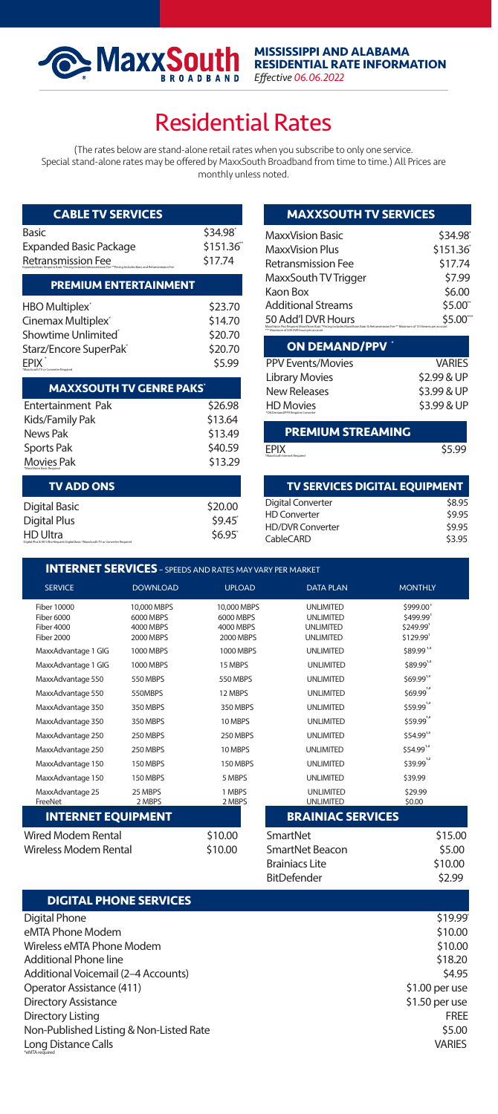## Residential Rates

(The rates below are stand-alone retail rates when you subscribe to only one service. Special stand-alone rates may be offered by MaxxSouth Broadband from time to time.) All Prices are monthly unless noted.

| <b>CABLE TV SERVICES</b>                                                                                                           |                                                     |  |
|------------------------------------------------------------------------------------------------------------------------------------|-----------------------------------------------------|--|
| <b>Basic</b><br><b>Expanded Basic Package</b><br>Retransmission Fee<br>yles Davis and Entrepreneuring Car                          | \$34.98<br>\$151.36<br>\$17.74                      |  |
| <b>PREMIUM ENTERTAINMENT</b>                                                                                                       |                                                     |  |
| HBO Multiplex'<br>Cinemax Multiplex'<br>Showtime Unlimited <sup>®</sup><br>Starz/Encore SuperPak <sup>-</sup><br>FPIX <sup>'</sup> | \$23.70<br>\$14.70<br>\$20.70<br>\$20.70<br>\$5.99  |  |
| <b>MAXXSOUTH TV GENRE PAKS'</b>                                                                                                    |                                                     |  |
| <b>Entertainment Pak</b><br>Kids/Family Pak<br>News Pak<br><b>Sports Pak</b><br>Movies Pak                                         | \$26.98<br>\$13.64<br>\$13.49<br>\$40.59<br>\$13.29 |  |
| <b>TV ADD ONS</b>                                                                                                                  |                                                     |  |
| Digital Basic<br><b>Digital Plus</b><br><b>HD Ultra</b><br>Distribute NitsunGraph TV or Competer Bancistal                         | \$20.00<br>\$9.45<br>\$6.95                         |  |

**Experience ADDRA SQUIN** 

| <b>MAXXSOUTH TV SERVICES</b>                                                                                                                                                        |          |  |
|-------------------------------------------------------------------------------------------------------------------------------------------------------------------------------------|----------|--|
| MaxxVision Basic                                                                                                                                                                    | \$34.98  |  |
| MaxxVision Plus                                                                                                                                                                     | \$151.36 |  |
| <b>Retransmission Fee</b>                                                                                                                                                           | \$17.74  |  |
| MaxxSouth TV Trigger                                                                                                                                                                | \$7.99   |  |
| Kaon Box                                                                                                                                                                            | \$6.00   |  |
| <b>Additional Streams</b>                                                                                                                                                           | \$5.00   |  |
| 50 Add'l DVR Hours<br>res MaxoVision Basic *Pricing Includes MaxoVision Basic & Pertransmission Fee ** Maximum of 10 Streams per accou-<br>*** Maximum of 500 DVR hours per account | \$5.00   |  |

| ON DEMAND/PPV                                         |               |
|-------------------------------------------------------|---------------|
| <b>PPV Events/Movies</b>                              | <b>VARIES</b> |
| <b>Library Movies</b>                                 | \$2.99 & UP   |
| <b>New Releases</b>                                   | \$3.99 & UP   |
| <b>HD Movies</b><br>*CN Demand/PPV Requires Converter | \$3.99 & UP   |

| <b>PREMIUM STREAMING</b>                    |        |
|---------------------------------------------|--------|
| <b>EPIX</b><br>"MaccGouth Internet Required | \$5.99 |

| <b>TV SERVICES DIGITAL EOUIPMENT</b> |        |
|--------------------------------------|--------|
| Digital Converter                    | \$8.95 |
| <b>HD Converter</b>                  | \$9.95 |
| <b>HD/DVR Converter</b>              | \$9.95 |
| CableCARD                            | \$3.95 |

Brainiacs Lite \$10.00

| <b>INTERNET SERVICES</b> - SPEEDS AND RATES MAY VARY PER MARKET |                                                    |                                                    |                                                                  |                                                 |
|-----------------------------------------------------------------|----------------------------------------------------|----------------------------------------------------|------------------------------------------------------------------|-------------------------------------------------|
| <b>SERVICE</b>                                                  | <b>DOWNLOAD</b>                                    | <b>UPLOAD</b>                                      | <b>DATA PLAN</b>                                                 | <b>MONTHLY</b>                                  |
| Fiber 10000<br><b>Fiber 6000</b><br>Fiber 4000<br>Fiber 2000    | 10,000 MBPS<br>6000 MBPS<br>4000 MBPS<br>2000 MBPS | 10,000 MBPS<br>6000 MBPS<br>4000 MBPS<br>2000 MBPS | UNI IMITED<br><b>UNLIMITED</b><br><b>UNLIMITED</b><br>UNI IMITED | \$999.00<br>\$499.99'<br>\$249.99'<br>\$129.99' |
| MaxxAdvantage 1 GIG                                             | 1000 MBPS                                          | 1000 MBPS                                          | <b>UNLIMITED</b>                                                 | \$89.991                                        |
| MaxxAdvantage 1 GIG                                             | 1000 MBPS                                          | 15 MBPS                                            | <b>UNLIMITED</b>                                                 | \$89.9912                                       |
| MaxxAdvantage 550                                               | <b>550 MBPS</b>                                    | <b>550 MBPS</b>                                    | <b>UNLIMITED</b>                                                 | \$69.991                                        |
| MaxxAdvantage 550                                               | 550MBPS                                            | 12 MBPS                                            | UNI IMITED                                                       | $$69.99^{^{12}}$                                |
| MaxxAdvantage 350                                               | 350 MBPS                                           | 350 MBPS                                           | UNI IMITED                                                       | \$59.99                                         |
| MaxxAdvantage 350                                               | 350 MBPS                                           | 10 MBPS                                            | UNI IMITED                                                       | \$59.9912                                       |
| MaxxAdvantage 250                                               | 250 MBPS                                           | 250 MBPS                                           | <b>UNLIMITED</b>                                                 | \$54.9914                                       |
| MaxxAdvantage 250                                               | 250 MBPS                                           | 10 MBPS                                            | UNI IMITED                                                       | $$54.99$ <sup>12</sup>                          |
| MaxxAdvantage 150                                               | 150 MBPS                                           | 150 MBPS                                           | <b>UNLIMITED</b>                                                 | $$39.99^{\text{12}}$$                           |
| MaxxAdvantage 150                                               | 150 MBPS                                           | 5 MBPS                                             | <b>UNLIMITED</b>                                                 | \$39.99                                         |
| MaxxAdvantage 25<br>FreeNet                                     | 25 MBPS<br>2 MBPS                                  | 1 MBPS<br>2 MBPS                                   | <b>UNLIMITED</b><br><b>UNLIMITED</b>                             | \$29.99<br>\$0.00                               |
| <b>INTERNET EQUIPMENT</b>                                       |                                                    |                                                    | <b>BRAINIAC SERVICES</b>                                         |                                                 |
| Wired Modem Rental                                              |                                                    | \$10.00                                            | SmartNet                                                         | \$15.00                                         |
| Wireless Modem Rental                                           |                                                    | \$10.00                                            | SmartNet Beacon                                                  | \$5.00                                          |

|                                         | BitDefender | \$2.99          |
|-----------------------------------------|-------------|-----------------|
| <b>DIGITAL PHONE SERVICES</b>           |             |                 |
| Digital Phone                           |             | \$19.99         |
| eMTA Phone Modem                        |             | \$10.00         |
| Wireless eMTA Phone Modem               |             | \$10.00         |
| Additional Phone line                   |             | \$18.20         |
| Additional Voicemail (2-4 Accounts)     |             | \$4.95          |
| Operator Assistance (411)               |             | $$1.00$ per use |
| <b>Directory Assistance</b>             |             | \$1.50 per use  |
| Directory Listing                       |             | <b>FREE</b>     |
| Non-Published Listing & Non-Listed Rate |             | \$5.00          |
| Long Distance Calls<br>"eMTA required   |             | <b>VARIES</b>   |